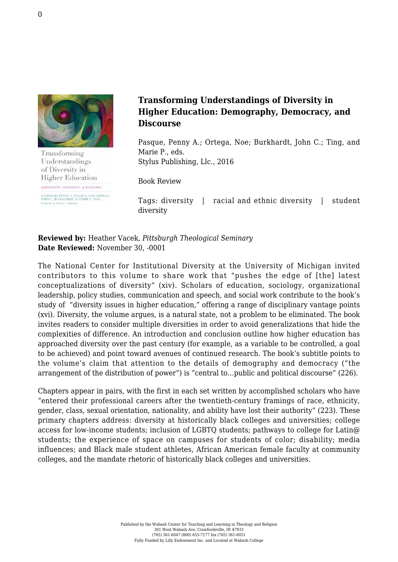

Transforming Understandings of Diversity in **Higher Education** 

DEMOGRAPHY, DEMOCRACY, & DISCOURSE EDITED BY PENNY A. PASQUE, NOE ORTEGA.<br>JOHN C. BURKHARDT. & MARIE P. TING

## **Transforming Understandings of Diversity in Higher Education: Demography, Democracy, and Discourse**

Pasque, Penny A.; Ortega, Noe; Burkhardt, John C.; Ting, and Marie P., eds. [Stylus Publishing, Llc., 2016](https://sty.presswarehouse.com/books/BookDetail.aspx?productID=463443)

Book Review

Tags: diversity | racial and ethnic diversity | student diversity

**Reviewed by:** Heather Vacek, *Pittsburgh Theological Seminary* **Date Reviewed:** November 30, -0001

The National Center for Institutional Diversity at the University of Michigan invited contributors to this volume to share work that "pushes the edge of [the] latest conceptualizations of diversity" (xiv). Scholars of education, sociology, organizational leadership, policy studies, communication and speech, and social work contribute to the book's study of "diversity issues in higher education," offering a range of disciplinary vantage points (xvi). Diversity, the volume argues, is a natural state, not a problem to be eliminated. The book invites readers to consider multiple diversities in order to avoid generalizations that hide the complexities of difference. An introduction and conclusion outline how higher education has approached diversity over the past century (for example, as a variable to be controlled, a goal to be achieved) and point toward avenues of continued research. The book's subtitle points to the volume's claim that attention to the details of demography and democracy ("the arrangement of the distribution of power") is "central to…public and political discourse" (226).

Chapters appear in pairs, with the first in each set written by accomplished scholars who have "entered their professional careers after the twentieth-century framings of race, ethnicity, gender, class, sexual orientation, nationality, and ability have lost their authority" (223). These primary chapters address: diversity at historically black colleges and universities; college access for low-income students; inclusion of LGBTQ students; pathways to college for Latin@ students; the experience of space on campuses for students of color; disability; media influences; and Black male student athletes, African American female faculty at community colleges, and the mandate rhetoric of historically black colleges and universities.